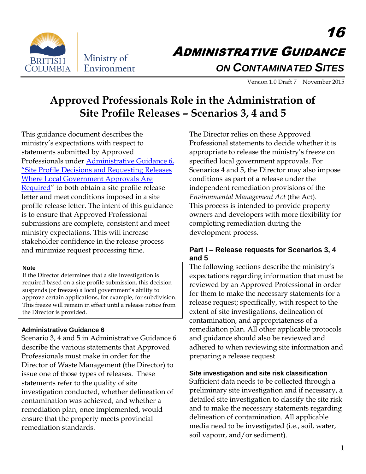

16 ADMINISTRATIVE GUIDANCE *ON CONTAMINATED SITES*

Version 1.0 Draft 7 November 2015

# **Approved Professionals Role in the Administration of Site Profile Releases – Scenarios 3, 4 and 5**

This guidance document describes the ministry's expectations with respect to statements submitted by Approved Professionals under [Administrative Guidance 6,](http://www2.gov.bc.ca/assets/gov/environment/air-land-water/site-remediation/docs/administrative-guidance/ag06.pdf)  ["Site Profile Decisions and Requesting Releases](http://www2.gov.bc.ca/assets/gov/environment/air-land-water/site-remediation/docs/administrative-guidance/ag06.pdf)  [Where Local Government Approvals Are](http://www2.gov.bc.ca/assets/gov/environment/air-land-water/site-remediation/docs/administrative-guidance/ag06.pdf)  [Required](http://www2.gov.bc.ca/assets/gov/environment/air-land-water/site-remediation/docs/administrative-guidance/ag06.pdf)" to both obtain a site profile release letter and meet conditions imposed in a site profile release letter. The intent of this guidance is to ensure that Approved Professional submissions are complete, consistent and meet ministry expectations. This will increase stakeholder confidence in the release process and minimize request processing time.

#### **Note**

If the Director determines that a site investigation is required based on a site profile submission, this decision suspends (or freezes) a local government's ability to approve certain applications, for example, for subdivision. This freeze will remain in effect until a release notice from the Director is provided.

## **Administrative Guidance 6**

Scenario 3, 4 and 5 in Administrative Guidance 6 describe the various statements that Approved Professionals must make in order for the Director of Waste Management (the Director) to issue one of those types of releases. These statements refer to the quality of site investigation conducted, whether delineation of contamination was achieved, and whether a remediation plan, once implemented, would ensure that the property meets provincial remediation standards.

The Director relies on these Approved Professional statements to decide whether it is appropriate to release the ministry's freeze on specified local government approvals. For Scenarios 4 and 5, the Director may also impose conditions as part of a release under the independent remediation provisions of the *Environmental Management Act* (the Act). This process is intended to provide property owners and developers with more flexibility for completing remediation during the development process.

## **Part I – Release requests for Scenarios 3, 4 and 5**

The following sections describe the ministry's expectations regarding information that must be reviewed by an Approved Professional in order for them to make the necessary statements for a release request; specifically, with respect to the extent of site investigations, delineation of contamination, and appropriateness of a remediation plan. All other applicable protocols and guidance should also be reviewed and adhered to when reviewing site information and preparing a release request.

## **Site investigation and site risk classification**

Sufficient data needs to be collected through a preliminary site investigation and if necessary, a detailed site investigation to classify the site risk and to make the necessary statements regarding delineation of contamination. All applicable media need to be investigated (i.e., soil, water, soil vapour, and/or sediment).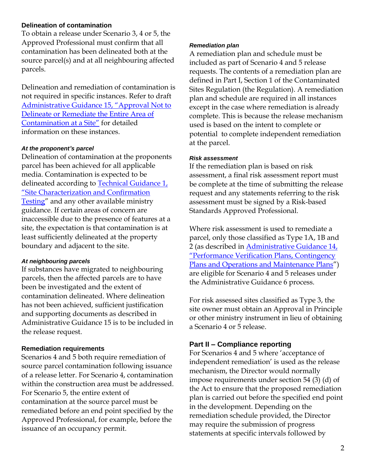### **Delineation of contamination**

To obtain a release under Scenario 3, 4 or 5, the Approved Professional must confirm that all contamination has been delineated both at the source parcel(s) and at all neighbouring affected parcels.

Delineation and remediation of contamination is not required in specific instances. Refer to draft Administrative [Guidance 15, "Approval Not to](http://www2.gov.bc.ca/assets/gov/environment/air-land-water/site-remediation/docs/requests-for-comments/ag15-approvals-delineate-draft.pdf)  Delineate or Remediate [the Entire Area of](http://www2.gov.bc.ca/assets/gov/environment/air-land-water/site-remediation/docs/requests-for-comments/ag15-approvals-delineate-draft.pdf)  [Contamination at a Site](http://www2.gov.bc.ca/assets/gov/environment/air-land-water/site-remediation/docs/requests-for-comments/ag15-approvals-delineate-draft.pdf)" for detailed information on these instances.

#### *At the proponent's parcel*

Delineation of contamination at the proponents parcel has been achieved for all applicable media. Contamination is expected to be delineated according to [Technical Guidance 1,](http://www2.gov.bc.ca/assets/gov/environment/air-land-water/site-remediation/docs/technical-guidance/tg01.pdf)  "Site Characteri[zation and Confirmation](http://www2.gov.bc.ca/assets/gov/environment/air-land-water/site-remediation/docs/technical-guidance/tg01.pdf)  [Testing](http://www2.gov.bc.ca/assets/gov/environment/air-land-water/site-remediation/docs/technical-guidance/tg01.pdf)" and any other available ministry guidance. If certain areas of concern are inaccessible due to the presence of features at a site, the expectation is that contamination is at least sufficiently delineated at the property boundary and adjacent to the site.

#### *At neighbouring parcels*

If substances have migrated to neighbouring parcels, then the affected parcels are to have been be investigated and the extent of contamination delineated. Where delineation has not been achieved, sufficient justification and supporting documents as described in Administrative Guidance 15 is to be included in the release request.

### **Remediation requirements**

Scenarios 4 and 5 both require remediation of source parcel contamination following issuance of a release letter. For Scenario 4, contamination within the construction area must be addressed. For Scenario 5, the entire extent of contamination at the source parcel must be remediated before an end point specified by the Approved Professional, for example, before the issuance of an occupancy permit.

#### *Remediation plan*

A remediation plan and schedule must be included as part of Scenario 4 and 5 release requests. The contents of a remediation plan are defined in Part I, Section 1 of the Contaminated Sites Regulation (the Regulation). A remediation plan and schedule are required in all instances except in the case where remediation is already complete. This is because the release mechanism used is based on the intent to complete or potential to complete independent remediation at the parcel.

#### *Risk assessment*

If the remediation plan is based on risk assessment, a final risk assessment report must be complete at the time of submitting the release request and any statements referring to the risk assessment must be signed by a Risk-based Standards Approved Professional.

Where risk assessment is used to remediate a parcel, only those classified as Type 1A, 1B and 2 (as described in [Administrative Guidance 14,](http://www2.gov.bc.ca/assets/gov/environment/air-land-water/site-remediation/docs/administrative-guidance/ag14.pdf)  ["Performance Verification Plans, Contingency](http://www2.gov.bc.ca/assets/gov/environment/air-land-water/site-remediation/docs/administrative-guidance/ag14.pdf)  [Plans and Operations and Maintenance Plans](http://www2.gov.bc.ca/assets/gov/environment/air-land-water/site-remediation/docs/administrative-guidance/ag14.pdf)") are eligible for Scenario 4 and 5 releases under the Administrative Guidance 6 process.

For risk assessed sites classified as Type 3, the site owner must obtain an Approval in Principle or other ministry instrument in lieu of obtaining a Scenario 4 or 5 release.

## **Part II – Compliance reporting**

For Scenarios 4 and 5 where 'acceptance of independent remediation' is used as the release mechanism, the Director would normally impose requirements under section 54 (3) (d) of the Act to ensure that the proposed remediation plan is carried out before the specified end point in the development. Depending on the remediation schedule provided, the Director may require the submission of progress statements at specific intervals followed by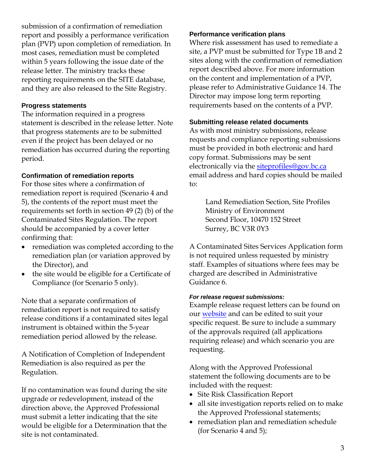submission of a confirmation of remediation report and possibly a performance verification plan (PVP) upon completion of remediation. In most cases, remediation must be completed within 5 years following the issue date of the release letter. The ministry tracks these reporting requirements on the SITE database, and they are also released to the Site Registry.

#### **Progress statements**

The information required in a progress statement is described in the release letter. Note that progress statements are to be submitted even if the project has been delayed or no remediation has occurred during the reporting period.

#### **Confirmation of remediation reports**

For those sites where a confirmation of remediation report is required (Scenario 4 and 5), the contents of the report must meet the requirements set forth in section 49 (2) (b) of the Contaminated Sites Regulation. The report should be accompanied by a cover letter confirming that:

- remediation was completed according to the remediation plan (or variation approved by the Director), and
- the site would be eligible for a Certificate of Compliance (for Scenario 5 only).

Note that a separate confirmation of remediation report is not required to satisfy release conditions if a contaminated sites legal instrument is obtained within the 5-year remediation period allowed by the release.

A Notification of Completion of Independent Remediation is also required as per the Regulation.

If no contamination was found during the site upgrade or redevelopment, instead of the direction above, the Approved Professional must submit a letter indicating that the site would be eligible for a Determination that the site is not contaminated.

#### **Performance verification plans**

Where risk assessment has used to remediate a site, a PVP must be submitted for Type 1B and 2 sites along with the confirmation of remediation report described above. For more information on the content and implementation of a PVP, please refer to Administrative Guidance 14. The Director may impose long term reporting requirements based on the contents of a PVP.

#### **Submitting release related documents**

As with most ministry submissions, release requests and compliance reporting submissions must be provided in both electronic and hard copy format. Submissions may be sent electronically via the [siteprofiles@gov.bc.ca](mailto:siteprofiles@gov.bc.ca) email address and hard copies should be mailed to:

> Land Remediation Section, Site Profiles Ministry of Environment Second Floor, 10470 152 Street Surrey, BC V3R 0Y3

A Contaminated Sites Services Application form is not required unless requested by ministry staff. Examples of situations where fees may be charged are described in Administrative Guidance 6.

#### *For release request submissions:*

Example release request letters can be found on our [website](http://www2.gov.bc.ca/gov/content/environment/air-land-water/site-remediation/site-profiles) and can be edited to suit your specific request. Be sure to include a summary of the approvals required (all applications requiring release) and which scenario you are requesting.

Along with the Approved Professional statement the following documents are to be included with the request:

- Site Risk Classification Report
- all site investigation reports relied on to make the Approved Professional statements;
- remediation plan and remediation schedule (for Scenario 4 and 5);